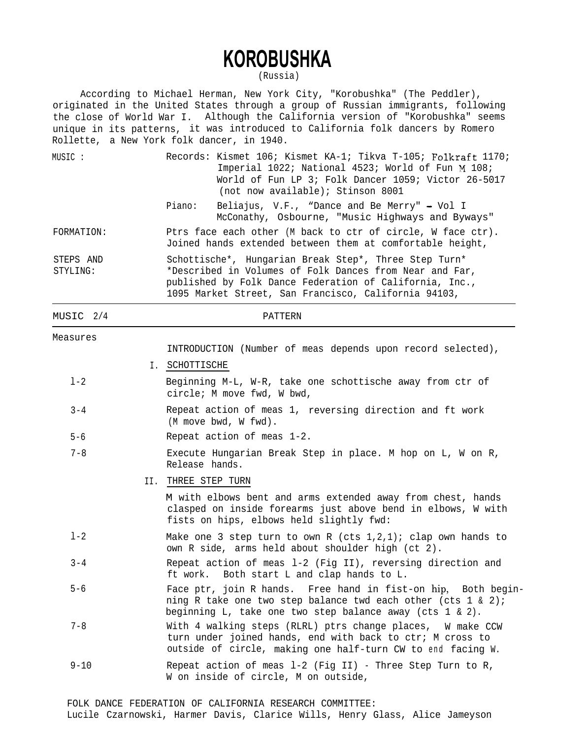## **KOROBUSHKA**

(Russia)

According to Michael Herman, New York City, "Korobushka" (The Peddler), originated in the United States through a group of Russian immigrants, following the close of World War I. Although the California version of "Korobushka" seems unique in its patterns, it was introduced to California folk dancers by Romero Rollette, a New York folk dancer, in 1940.

| MUSIC :               |     | Records: Kismet 106; Kismet KA-1; Tikva T-105; Folkraft 1170;<br>Imperial 1022; National 4523; World of Fun M 108;<br>World of Fun LP 3; Folk Dancer 1059; Victor 26-5017<br>(not now available); Stinson 8001                      |
|-----------------------|-----|-------------------------------------------------------------------------------------------------------------------------------------------------------------------------------------------------------------------------------------|
|                       |     | Piano:<br>Beliajus, V.F., "Dance and Be Merry" - Vol I<br>McConathy, Osbourne, "Music Highways and Byways"                                                                                                                          |
| FORMATION:            |     | Ptrs face each other (M back to ctr of circle, W face ctr).<br>Joined hands extended between them at comfortable height,                                                                                                            |
| STEPS AND<br>STYLING: |     | Schottische*, Hungarian Break Step*, Three Step Turn*<br>*Described in Volumes of Folk Dances from Near and Far,<br>published by Folk Dance Federation of California, Inc.,<br>1095 Market Street, San Francisco, California 94103, |
| MUSIC 2/4             |     | <b>PATTERN</b>                                                                                                                                                                                                                      |
| Measures              |     | INTRODUCTION (Number of meas depends upon record selected),                                                                                                                                                                         |
|                       |     | I. SCHOTTISCHE                                                                                                                                                                                                                      |
| $1 - 2$               |     | Beginning M-L, W-R, take one schottische away from ctr of<br>circle; M move fwd, W bwd,                                                                                                                                             |
| $3 - 4$               |     | Repeat action of meas 1, reversing direction and ft work<br>(M move bwd, W fwd).                                                                                                                                                    |
| $5 - 6$               |     | Repeat action of meas 1-2.                                                                                                                                                                                                          |
| $7 - 8$               |     | Execute Hungarian Break Step in place. M hop on L, W on R,<br>Release hands.                                                                                                                                                        |
|                       | II. | THREE STEP TURN                                                                                                                                                                                                                     |
|                       |     | M with elbows bent and arms extended away from chest, hands<br>clasped on inside forearms just above bend in elbows, W with<br>fists on hips, elbows held slightly fwd:                                                             |
| $1 - 2$               |     | Make one 3 step turn to own R (cts $1,2,1$ ); clap own hands to<br>own R side, arms held about shoulder high (ct 2).                                                                                                                |
| $3 - 4$               |     | Repeat action of meas 1-2 (Fig II), reversing direction and<br>ft work. Both start L and clap hands to L.                                                                                                                           |
| $5 - 6$               |     | Face ptr, join R hands. Free hand in fist-on hip, Both begin-<br>ning R take one two step balance twd each other (cts 1 & 2);<br>beginning L, take one two step balance away (cts 1 & 2).                                           |
| $7 - 8$               |     | With 4 walking steps (RLRL) ptrs change places, W make CCW<br>turn under joined hands, end with back to ctr; M cross to                                                                                                             |

 $9 - 10$ Repeat action of meas l-2 (Fig II) - Three Step Turn to R, W on inside of circle, M on outside,

outside of circle, making one half-turn CW to end facing W.

## FOLK DANCE FEDERATION OF CALIFORNIA RESEARCH COMMITTEE: Lucile Czarnowski, Harmer Davis, Clarice Wills, Henry Glass, Alice Jameyson